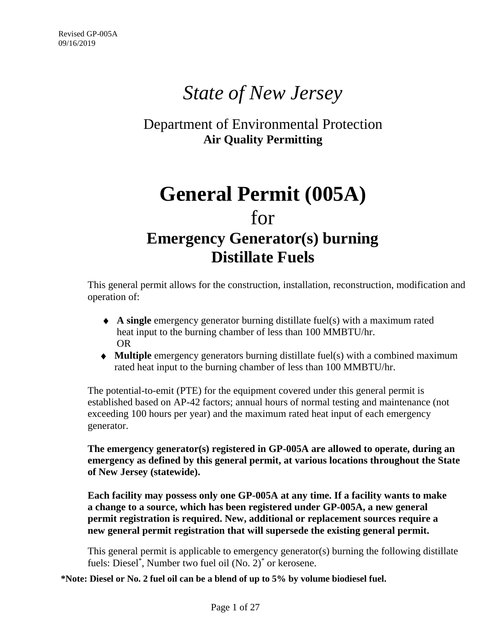# *State of New Jersey*

## Department of Environmental Protection **Air Quality Permitting**

## **General Permit (005A)** for **Emergency Generator(s) burning Distillate Fuels**

This general permit allows for the construction, installation, reconstruction, modification and operation of:

- ♦ **A single** emergency generator burning distillate fuel(s) with a maximum rated heat input to the burning chamber of less than 100 MMBTU/hr. OR
- ♦ **Multiple** emergency generators burning distillate fuel(s) with a combined maximum rated heat input to the burning chamber of less than 100 MMBTU/hr.

The potential-to-emit (PTE) for the equipment covered under this general permit is established based on AP-42 factors; annual hours of normal testing and maintenance (not exceeding 100 hours per year) and the maximum rated heat input of each emergency generator.

**The emergency generator(s) registered in GP-005A are allowed to operate, during an emergency as defined by this general permit, at various locations throughout the State of New Jersey (statewide).**

**Each facility may possess only one GP-005A at any time. If a facility wants to make a change to a source, which has been registered under GP-005A, a new general permit registration is required. New, additional or replacement sources require a new general permit registration that will supersede the existing general permit.**

This general permit is applicable to emergency generator(s) burning the following distillate fuels: Diesel\* , Number two fuel oil (No. 2)\* or kerosene.

**\*Note: Diesel or No. 2 fuel oil can be a blend of up to 5% by volume biodiesel fuel.**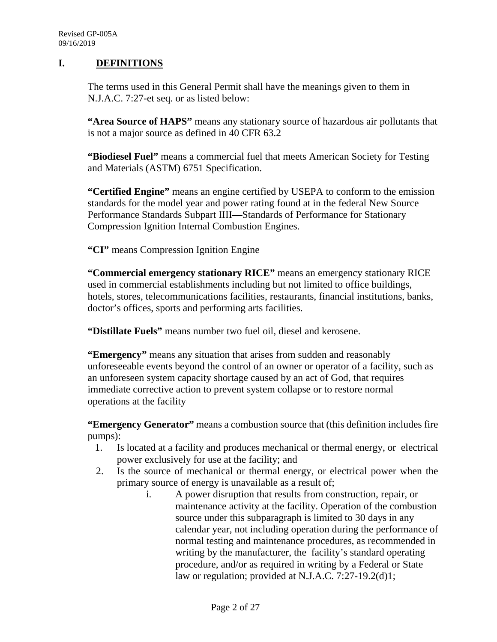#### **I. DEFINITIONS**

The terms used in this General Permit shall have the meanings given to them in N.J.A.C. 7:27-et seq. or as listed below:

**"Area Source of HAPS"** means any stationary source of hazardous air pollutants that is not a major source as defined in 40 CFR 63.2

**"Biodiesel Fuel"** means a commercial fuel that meets American Society for Testing and Materials (ASTM) 6751 Specification.

**"Certified Engine"** means an engine certified by USEPA to conform to the emission standards for the model year and power rating found at in the federal New Source Performance Standards Subpart IIII—Standards of Performance for Stationary Compression Ignition Internal Combustion Engines.

**"CI"** means Compression Ignition Engine

**"Commercial emergency stationary RICE"** means an emergency stationary RICE used in commercial establishments including but not limited to office buildings, hotels, stores, telecommunications facilities, restaurants, financial institutions, banks, doctor's offices, sports and performing arts facilities.

**"Distillate Fuels"** means number two fuel oil, diesel and kerosene.

**"Emergency"** means any situation that arises from sudden and reasonably unforeseeable events beyond the control of an owner or operator of a facility, such as an unforeseen system capacity shortage caused by an act of God, that requires immediate corrective action to prevent system collapse or to restore normal operations at the facility

**"Emergency Generator"** means a combustion source that (this definition includes fire pumps):

- 1. Is located at a facility and produces mechanical or thermal energy, or electrical power exclusively for use at the facility; and
- 2. Is the source of mechanical or thermal energy, or electrical power when the primary source of energy is unavailable as a result of;
	- i. A power disruption that results from construction, repair, or maintenance activity at the facility. Operation of the combustion source under this subparagraph is limited to 30 days in any calendar year, not including operation during the performance of normal testing and maintenance procedures, as recommended in writing by the manufacturer, the facility's standard operating procedure, and/or as required in writing by a Federal or State law or regulation; provided at N.J.A.C. 7:27-19.2(d)1;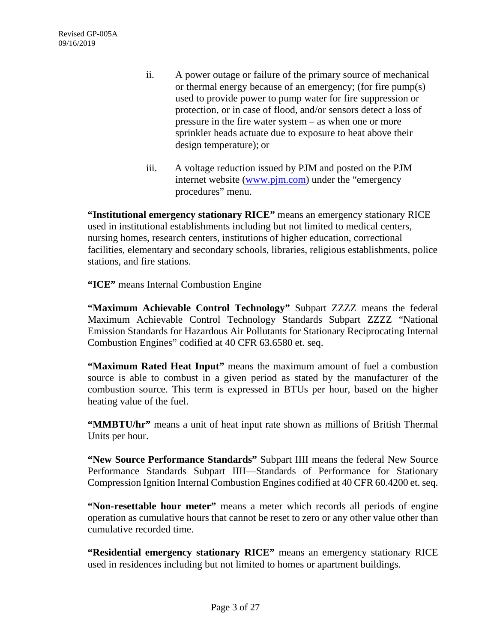- ii. A power outage or failure of the primary source of mechanical or thermal energy because of an emergency; (for fire pump(s) used to provide power to pump water for fire suppression or protection, or in case of flood, and/or sensors detect a loss of pressure in the fire water system – as when one or more sprinkler heads actuate due to exposure to heat above their design temperature); or
- iii. A voltage reduction issued by PJM and posted on the PJM internet website [\(www.pjm.com\)](http://www.pjm.com/) under the "emergency procedures" menu.

**"Institutional emergency stationary RICE"** means an emergency stationary RICE used in institutional establishments including but not limited to medical centers, nursing homes, research centers, institutions of higher education, correctional facilities, elementary and secondary schools, libraries, religious establishments, police stations, and fire stations.

**"ICE"** means Internal Combustion Engine

**"Maximum Achievable Control Technology"** Subpart ZZZZ means the federal Maximum Achievable Control Technology Standards Subpart ZZZZ "National Emission Standards for Hazardous Air Pollutants for Stationary Reciprocating Internal Combustion Engines" codified at 40 CFR 63.6580 et. seq.

**"Maximum Rated Heat Input"** means the maximum amount of fuel a combustion source is able to combust in a given period as stated by the manufacturer of the combustion source. This term is expressed in BTUs per hour, based on the higher heating value of the fuel.

**"MMBTU/hr"** means a unit of heat input rate shown as millions of British Thermal Units per hour.

**"New Source Performance Standards"** Subpart IIII means the federal New Source Performance Standards Subpart IIII—Standards of Performance for Stationary Compression Ignition Internal Combustion Engines codified at 40 CFR 60.4200 et. seq.

**"Non-resettable hour meter"** means a meter which records all periods of engine operation as cumulative hours that cannot be reset to zero or any other value other than cumulative recorded time.

**"Residential emergency stationary RICE"** means an emergency stationary RICE used in residences including but not limited to homes or apartment buildings.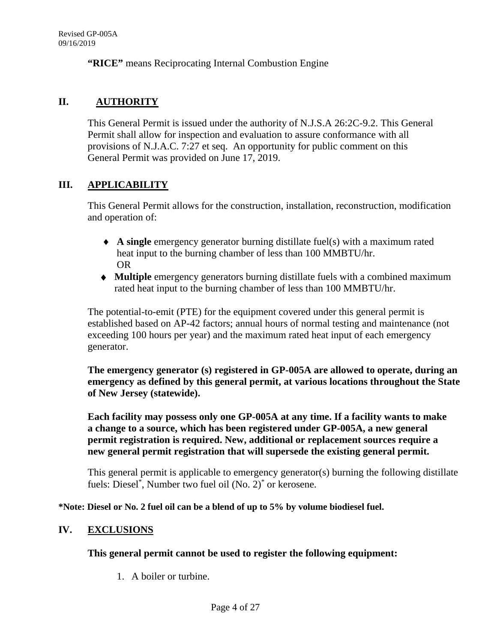**"RICE"** means Reciprocating Internal Combustion Engine

#### **II. AUTHORITY**

This General Permit is issued under the authority of N.J.S.A 26:2C-9.2. This General Permit shall allow for inspection and evaluation to assure conformance with all provisions of N.J.A.C. 7:27 et seq. An opportunity for public comment on this General Permit was provided on June 17, 2019.

#### **III. APPLICABILITY**

This General Permit allows for the construction, installation, reconstruction, modification and operation of:

- ♦ **A single** emergency generator burning distillate fuel(s) with a maximum rated heat input to the burning chamber of less than 100 MMBTU/hr. OR
- ♦ **Multiple** emergency generators burning distillate fuels with a combined maximum rated heat input to the burning chamber of less than 100 MMBTU/hr.

The potential-to-emit (PTE) for the equipment covered under this general permit is established based on AP-42 factors; annual hours of normal testing and maintenance (not exceeding 100 hours per year) and the maximum rated heat input of each emergency generator.

**The emergency generator (s) registered in GP-005A are allowed to operate, during an emergency as defined by this general permit, at various locations throughout the State of New Jersey (statewide).**

**Each facility may possess only one GP-005A at any time. If a facility wants to make a change to a source, which has been registered under GP-005A, a new general permit registration is required. New, additional or replacement sources require a new general permit registration that will supersede the existing general permit.**

This general permit is applicable to emergency generator(s) burning the following distillate fuels: Diesel\* , Number two fuel oil (No. 2)\* or kerosene.

**\*Note: Diesel or No. 2 fuel oil can be a blend of up to 5% by volume biodiesel fuel.**

#### **IV. EXCLUSIONS**

#### **This general permit cannot be used to register the following equipment:**

1. A boiler or turbine.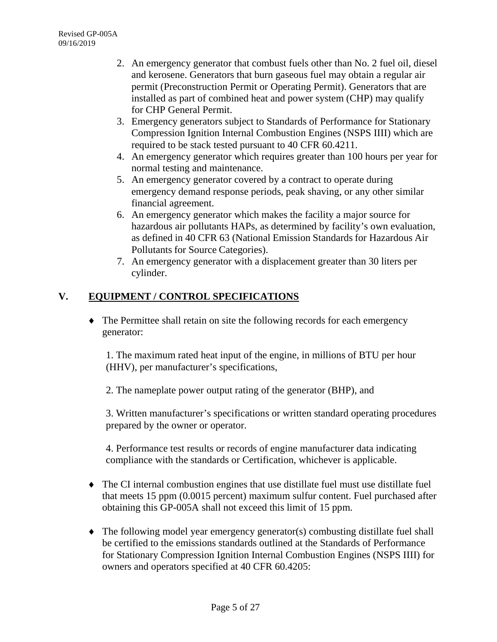- 2. An emergency generator that combust fuels other than No. 2 fuel oil, diesel and kerosene. Generators that burn gaseous fuel may obtain a regular air permit (Preconstruction Permit or Operating Permit). Generators that are installed as part of combined heat and power system (CHP) may qualify for CHP General Permit.
- 3. Emergency generators subject to Standards of Performance for Stationary Compression Ignition Internal Combustion Engines (NSPS IIII) which are required to be stack tested pursuant to 40 CFR 60.4211.
- 4. An emergency generator which requires greater than 100 hours per year for normal testing and maintenance.
- 5. An emergency generator covered by a contract to operate during emergency demand response periods, peak shaving, or any other similar financial agreement.
- 6. An emergency generator which makes the facility a major source for hazardous air pollutants HAPs, as determined by facility's own evaluation, as defined in 40 CFR 63 (National Emission Standards for Hazardous Air Pollutants for Source Categories).
- 7. An emergency generator with a displacement greater than 30 liters per cylinder.

## **V. EQUIPMENT / CONTROL SPECIFICATIONS**

♦ The Permittee shall retain on site the following records for each emergency generator:

1. The maximum rated heat input of the engine, in millions of BTU per hour (HHV), per manufacturer's specifications,

2. The nameplate power output rating of the generator (BHP), and

3. Written manufacturer's specifications or written standard operating procedures prepared by the owner or operator.

4. Performance test results or records of engine manufacturer data indicating compliance with the standards or Certification, whichever is applicable.

- ♦ The CI internal combustion engines that use distillate fuel must use distillate fuel that meets 15 ppm (0.0015 percent) maximum sulfur content. Fuel purchased after obtaining this GP-005A shall not exceed this limit of 15 ppm.
- ♦ The following model year emergency generator(s) combusting distillate fuel shall be certified to the emissions standards outlined at the Standards of Performance for Stationary Compression Ignition Internal Combustion Engines (NSPS IIII) for owners and operators specified at 40 CFR 60.4205: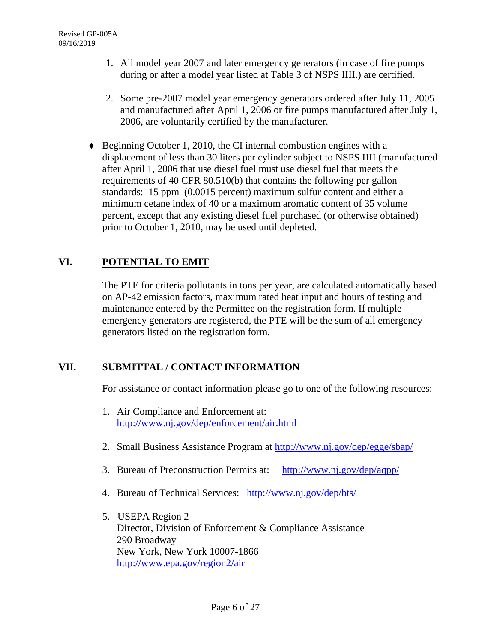- 1. All model year 2007 and later emergency generators (in case of fire pumps during or after a model year listed at Table 3 of NSPS IIII.) are certified.
- 2. Some pre-2007 model year emergency generators ordered after July 11, 2005 and manufactured after April 1, 2006 or fire pumps manufactured after July 1, 2006, are voluntarily certified by the manufacturer.
- ♦ Beginning October 1, 2010, the CI internal combustion engines with a displacement of less than 30 liters per cylinder subject to NSPS IIII (manufactured after April 1, 2006 that use diesel fuel must use diesel fuel that meets the requirements of 40 CFR 80.510(b) that contains the following per gallon standards: 15 ppm (0.0015 percent) maximum sulfur content and either a minimum cetane index of 40 or a maximum aromatic content of 35 volume percent, except that any existing diesel fuel purchased (or otherwise obtained) prior to October 1, 2010, may be used until depleted.

## **VI. POTENTIAL TO EMIT**

The PTE for criteria pollutants in tons per year, are calculated automatically based on AP-42 emission factors, maximum rated heat input and hours of testing and maintenance entered by the Permittee on the registration form. If multiple emergency generators are registered, the PTE will be the sum of all emergency generators listed on the registration form.

### **VII. SUBMITTAL / CONTACT INFORMATION**

For assistance or contact information please go to one of the following resources:

- 1. Air Compliance and Enforcement at: <http://www.nj.gov/dep/enforcement/air.html>
- 2. Small Business Assistance Program at<http://www.nj.gov/dep/egge/sbap/>
- 3. Bureau of Preconstruction Permits at: [http://www.nj.gov/dep/aqpp/](http://www.nj.gov/dep/egge/sbap/)
- 4. Bureau of Technical Services: [http://www.nj.gov/dep/bts/](http://www.nj.gov/dep/egge/sbap/)
- 5. USEPA Region 2 Director, Division of Enforcement & Compliance Assistance 290 Broadway New York, New York 10007-1866 <http://www.epa.gov/region2/air>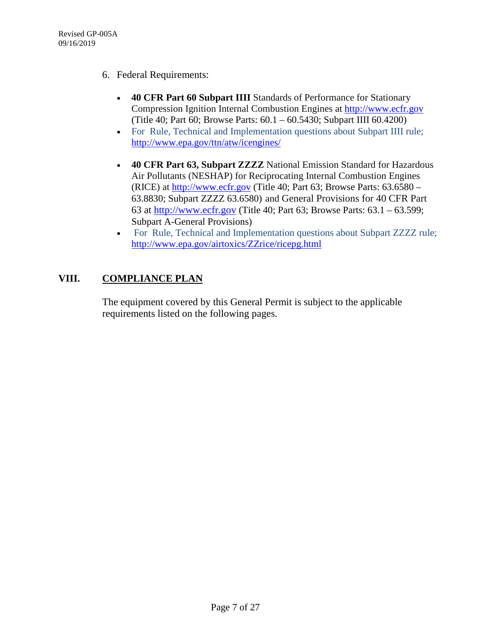- 6. Federal Requirements:
	- **40 CFR Part 60 Subpart IIII** Standards of Performance for Stationary Compression Ignition Internal Combustion Engines at [http://www.ecfr.gov](http://www.ecfr.gov/) (Title 40; Part 60; Browse Parts: 60.1 – 60.5430; Subpart IIII 60.4200)
	- For Rule, Technical and Implementation questions about Subpart IIII rule; <http://www.epa.gov/ttn/atw/icengines/>
	- **40 CFR Part 63, Subpart ZZZZ** National Emission Standard for Hazardous Air Pollutants (NESHAP) for Reciprocating Internal Combustion Engines (RICE) at [http://www.ecfr.gov](http://www.ecfr.gov/) (Title 40; Part 63; Browse Parts: 63.6580 – 63.8830; Subpart ZZZZ 63.6580) and General Provisions for 40 CFR Part 63 at [http://www.ecfr.gov](http://www.ecfr.gov/) (Title 40; Part 63; Browse Parts: 63.1 – 63.599; Subpart A-General Provisions)
	- For Rule, Technical and Implementation questions about Subpart ZZZZ rule; <http://www.epa.gov/airtoxics/ZZrice/ricepg.html>

### **VIII. COMPLIANCE PLAN**

The equipment covered by this General Permit is subject to the applicable requirements listed on the following pages.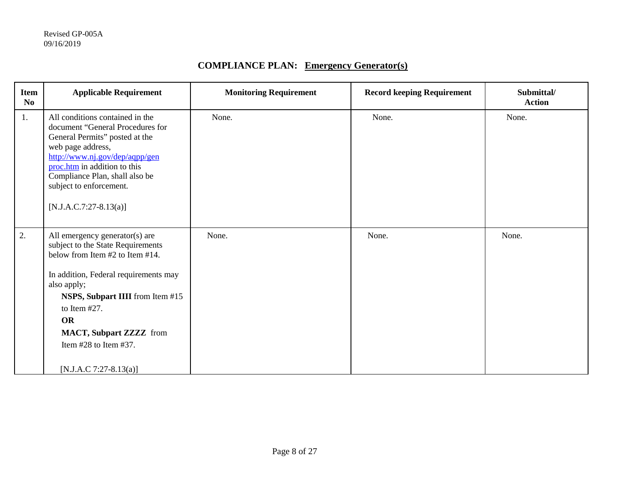## **COMPLIANCE PLAN: Emergency Generator(s)**

| <b>Item</b><br>N <sub>0</sub> | <b>Applicable Requirement</b>                                                                                                                                                                                                                                                                                                         | <b>Monitoring Requirement</b> | <b>Record keeping Requirement</b> | Submittal/<br><b>Action</b> |
|-------------------------------|---------------------------------------------------------------------------------------------------------------------------------------------------------------------------------------------------------------------------------------------------------------------------------------------------------------------------------------|-------------------------------|-----------------------------------|-----------------------------|
| 1.                            | All conditions contained in the<br>document "General Procedures for<br>General Permits" posted at the<br>web page address,<br>http://www.nj.gov/dep/aqpp/gen<br>proc.htm in addition to this<br>Compliance Plan, shall also be<br>subject to enforcement.<br>$[N.J.A.C.7:27-8.13(a)]$                                                 | None.                         | None.                             | None.                       |
| 2.                            | All emergency generator(s) are<br>subject to the State Requirements<br>below from Item #2 to Item #14.<br>In addition, Federal requirements may<br>also apply;<br><b>NSPS, Subpart IIII</b> from Item #15<br>to Item $#27$ .<br><b>OR</b><br><b>MACT, Subpart ZZZZ</b> from<br>Item $#28$ to Item $#37$ .<br>$[N.J.A.C 7:27-8.13(a)]$ | None.                         | None.                             | None.                       |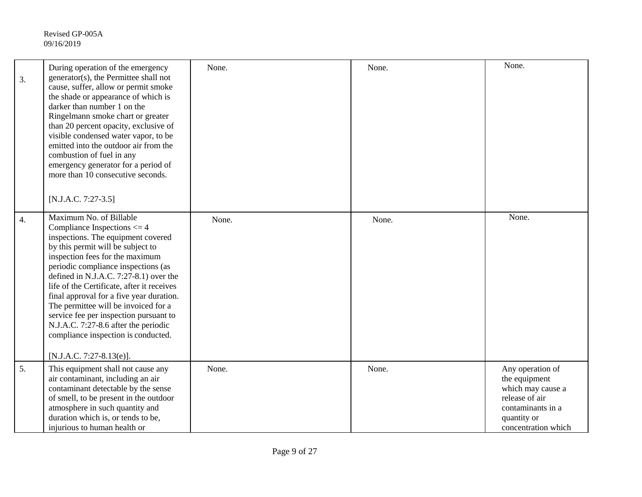| 3.               | During operation of the emergency<br>generator(s), the Permittee shall not<br>cause, suffer, allow or permit smoke<br>the shade or appearance of which is<br>darker than number 1 on the<br>Ringelmann smoke chart or greater<br>than 20 percent opacity, exclusive of<br>visible condensed water vapor, to be<br>emitted into the outdoor air from the<br>combustion of fuel in any<br>emergency generator for a period of<br>more than 10 consecutive seconds.<br>$[N.J.A.C. 7:27-3.5]$                                                        | None. | None. | None.                                                                                                                               |
|------------------|--------------------------------------------------------------------------------------------------------------------------------------------------------------------------------------------------------------------------------------------------------------------------------------------------------------------------------------------------------------------------------------------------------------------------------------------------------------------------------------------------------------------------------------------------|-------|-------|-------------------------------------------------------------------------------------------------------------------------------------|
| $\overline{4}$ . | Maximum No. of Billable<br>Compliance Inspections $\leq 4$<br>inspections. The equipment covered<br>by this permit will be subject to<br>inspection fees for the maximum<br>periodic compliance inspections (as<br>defined in N.J.A.C. 7:27-8.1) over the<br>life of the Certificate, after it receives<br>final approval for a five year duration.<br>The permittee will be invoiced for a<br>service fee per inspection pursuant to<br>N.J.A.C. 7:27-8.6 after the periodic<br>compliance inspection is conducted.<br>[N.J.A.C. 7:27-8.13(e)]. | None. | None. | None.                                                                                                                               |
| 5.               | This equipment shall not cause any<br>air contaminant, including an air<br>contaminant detectable by the sense<br>of smell, to be present in the outdoor<br>atmosphere in such quantity and<br>duration which is, or tends to be,<br>injurious to human health or                                                                                                                                                                                                                                                                                | None. | None. | Any operation of<br>the equipment<br>which may cause a<br>release of air<br>contaminants in a<br>quantity or<br>concentration which |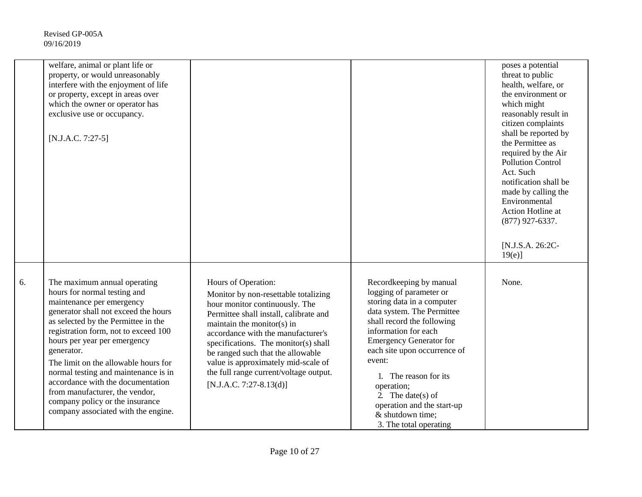|    | welfare, animal or plant life or<br>property, or would unreasonably<br>interfere with the enjoyment of life<br>or property, except in areas over<br>which the owner or operator has<br>exclusive use or occupancy.<br>$[N.J.A.C. 7:27-5]$                                                                                                                                                                                                                                                       |                                                                                                                                                                                                                                                                                                                                                                                                        |                                                                                                                                                                                                                                                                                                                                                                                          | poses a potential<br>threat to public<br>health, welfare, or<br>the environment or<br>which might<br>reasonably result in<br>citizen complaints<br>shall be reported by<br>the Permittee as<br>required by the Air<br><b>Pollution Control</b><br>Act. Such<br>notification shall be<br>made by calling the<br>Environmental<br>Action Hotline at<br>$(877)$ 927-6337.<br>[N.J.S.A. 26:2C-<br>$19(e)$ ] |
|----|-------------------------------------------------------------------------------------------------------------------------------------------------------------------------------------------------------------------------------------------------------------------------------------------------------------------------------------------------------------------------------------------------------------------------------------------------------------------------------------------------|--------------------------------------------------------------------------------------------------------------------------------------------------------------------------------------------------------------------------------------------------------------------------------------------------------------------------------------------------------------------------------------------------------|------------------------------------------------------------------------------------------------------------------------------------------------------------------------------------------------------------------------------------------------------------------------------------------------------------------------------------------------------------------------------------------|---------------------------------------------------------------------------------------------------------------------------------------------------------------------------------------------------------------------------------------------------------------------------------------------------------------------------------------------------------------------------------------------------------|
| 6. | The maximum annual operating<br>hours for normal testing and<br>maintenance per emergency<br>generator shall not exceed the hours<br>as selected by the Permittee in the<br>registration form, not to exceed 100<br>hours per year per emergency<br>generator.<br>The limit on the allowable hours for<br>normal testing and maintenance is in<br>accordance with the documentation<br>from manufacturer, the vendor,<br>company policy or the insurance<br>company associated with the engine. | Hours of Operation:<br>Monitor by non-resettable totalizing<br>hour monitor continuously. The<br>Permittee shall install, calibrate and<br>maintain the monitor(s) in<br>accordance with the manufacturer's<br>specifications. The monitor(s) shall<br>be ranged such that the allowable<br>value is approximately mid-scale of<br>the full range current/voltage output.<br>$[N.J.A.C. 7:27-8.13(d)]$ | Recordkeeping by manual<br>logging of parameter or<br>storing data in a computer<br>data system. The Permittee<br>shall record the following<br>information for each<br><b>Emergency Generator for</b><br>each site upon occurrence of<br>event:<br>1. The reason for its<br>operation;<br>2. The date(s) of<br>operation and the start-up<br>& shutdown time;<br>3. The total operating | None.                                                                                                                                                                                                                                                                                                                                                                                                   |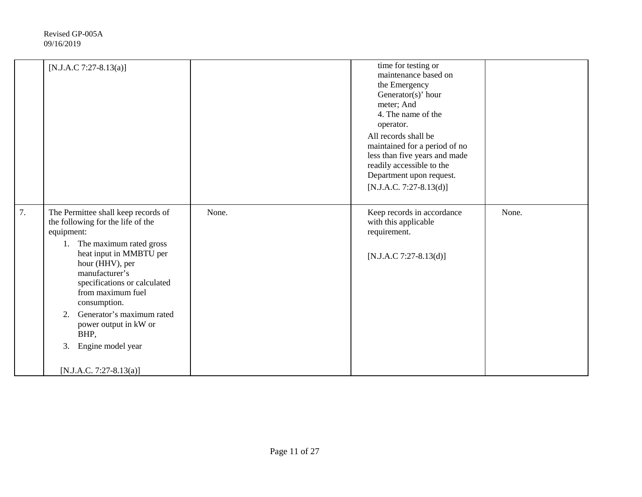|    | [N.J.A.C 7:27-8.13(a)]                                                                                                                                                                                                                                                                                                                                                                   |       | time for testing or<br>maintenance based on<br>the Emergency<br>Generator(s)' hour<br>meter; And<br>4. The name of the<br>operator.<br>All records shall be<br>maintained for a period of no<br>less than five years and made<br>readily accessible to the<br>Department upon request.<br>$[N.J.A.C. 7:27-8.13(d)]$ |       |
|----|------------------------------------------------------------------------------------------------------------------------------------------------------------------------------------------------------------------------------------------------------------------------------------------------------------------------------------------------------------------------------------------|-------|---------------------------------------------------------------------------------------------------------------------------------------------------------------------------------------------------------------------------------------------------------------------------------------------------------------------|-------|
| 7. | The Permittee shall keep records of<br>the following for the life of the<br>equipment:<br>The maximum rated gross<br>1.<br>heat input in MMBTU per<br>hour (HHV), per<br>manufacturer's<br>specifications or calculated<br>from maximum fuel<br>consumption.<br>Generator's maximum rated<br>2.<br>power output in kW or<br>BHP,<br>Engine model year<br>3.<br>$[N.J.A.C. 7:27-8.13(a)]$ | None. | Keep records in accordance<br>with this applicable<br>requirement.<br>[N.J.A.C 7:27-8.13(d)]                                                                                                                                                                                                                        | None. |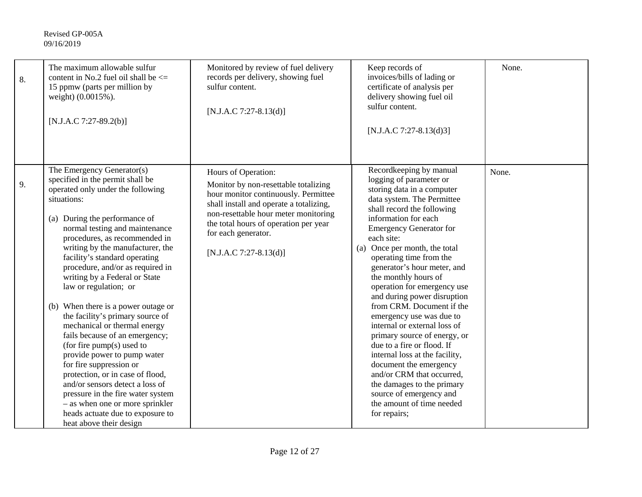| 8. | The maximum allowable sulfur<br>content in No.2 fuel oil shall be $\leq$<br>15 ppmw (parts per million by<br>weight) (0.0015%).<br>[N.J.A.C 7:27-89.2(b)]                                                                                                                                                                                                                                                                                                                                                                                                                                                                                                                                                                                                                                                                                     | Monitored by review of fuel delivery<br>records per delivery, showing fuel<br>sulfur content.<br>[N.J.A.C 7:27-8.13(d)]                                                                                                                                                            | Keep records of<br>invoices/bills of lading or<br>certificate of analysis per<br>delivery showing fuel oil<br>sulfur content.<br>[N.J.A.C 7:27-8.13(d)3]                                                                                                                                                                                                                                                                                                                                                                                                                                                                                                                                                                                                       | None. |
|----|-----------------------------------------------------------------------------------------------------------------------------------------------------------------------------------------------------------------------------------------------------------------------------------------------------------------------------------------------------------------------------------------------------------------------------------------------------------------------------------------------------------------------------------------------------------------------------------------------------------------------------------------------------------------------------------------------------------------------------------------------------------------------------------------------------------------------------------------------|------------------------------------------------------------------------------------------------------------------------------------------------------------------------------------------------------------------------------------------------------------------------------------|----------------------------------------------------------------------------------------------------------------------------------------------------------------------------------------------------------------------------------------------------------------------------------------------------------------------------------------------------------------------------------------------------------------------------------------------------------------------------------------------------------------------------------------------------------------------------------------------------------------------------------------------------------------------------------------------------------------------------------------------------------------|-------|
| 9. | The Emergency Generator(s)<br>specified in the permit shall be<br>operated only under the following<br>situations:<br>(a) During the performance of<br>normal testing and maintenance<br>procedures, as recommended in<br>writing by the manufacturer, the<br>facility's standard operating<br>procedure, and/or as required in<br>writing by a Federal or State<br>law or regulation; or<br>(b) When there is a power outage or<br>the facility's primary source of<br>mechanical or thermal energy<br>fails because of an emergency;<br>(for fire $pump(s)$ used to<br>provide power to pump water<br>for fire suppression or<br>protection, or in case of flood,<br>and/or sensors detect a loss of<br>pressure in the fire water system<br>- as when one or more sprinkler<br>heads actuate due to exposure to<br>heat above their design | Hours of Operation:<br>Monitor by non-resettable totalizing<br>hour monitor continuously. Permittee<br>shall install and operate a totalizing,<br>non-resettable hour meter monitoring<br>the total hours of operation per year<br>for each generator.<br>$[N.J.A.C 7:27-8.13(d)]$ | Recordkeeping by manual<br>logging of parameter or<br>storing data in a computer<br>data system. The Permittee<br>shall record the following<br>information for each<br><b>Emergency Generator for</b><br>each site:<br>Once per month, the total<br>(a)<br>operating time from the<br>generator's hour meter, and<br>the monthly hours of<br>operation for emergency use<br>and during power disruption<br>from CRM. Document if the<br>emergency use was due to<br>internal or external loss of<br>primary source of energy, or<br>due to a fire or flood. If<br>internal loss at the facility,<br>document the emergency<br>and/or CRM that occurred,<br>the damages to the primary<br>source of emergency and<br>the amount of time needed<br>for repairs; | None. |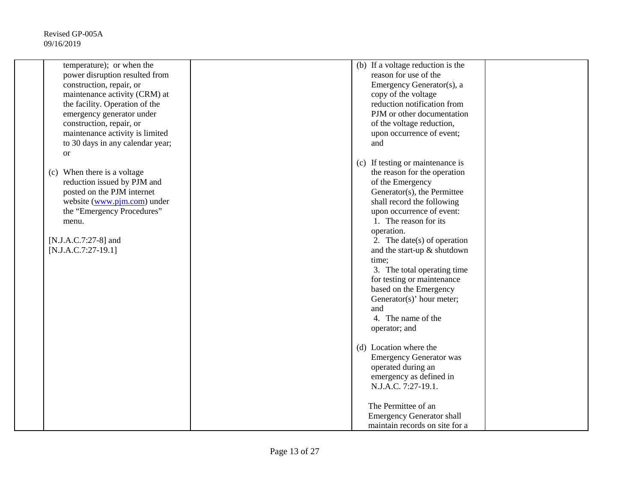| temperature); or when the<br>power disruption resulted from<br>construction, repair, or<br>maintenance activity (CRM) at<br>the facility. Operation of the<br>emergency generator under<br>construction, repair, or<br>maintenance activity is limited<br>to 30 days in any calendar year;<br><sub>or</sub> | (b) If a voltage reduction is the<br>reason for use of the<br>Emergency Generator(s), a<br>copy of the voltage<br>reduction notification from<br>PJM or other documentation<br>of the voltage reduction,<br>upon occurrence of event;<br>and                                                                                                                                                                                                                   |
|-------------------------------------------------------------------------------------------------------------------------------------------------------------------------------------------------------------------------------------------------------------------------------------------------------------|----------------------------------------------------------------------------------------------------------------------------------------------------------------------------------------------------------------------------------------------------------------------------------------------------------------------------------------------------------------------------------------------------------------------------------------------------------------|
| (c) When there is a voltage<br>reduction issued by PJM and<br>posted on the PJM internet<br>website (www.pjm.com) under<br>the "Emergency Procedures"<br>menu.<br>[N.J.A.C.7:27-8] and<br>$[N.J.A.C.7:27-19.1]$                                                                                             | (c) If testing or maintenance is<br>the reason for the operation<br>of the Emergency<br>Generator(s), the Permittee<br>shall record the following<br>upon occurrence of event:<br>1. The reason for its<br>operation.<br>2. The date(s) of operation<br>and the start-up & shutdown<br>time;<br>3. The total operating time<br>for testing or maintenance<br>based on the Emergency<br>Generator(s)' hour meter;<br>and<br>4. The name of the<br>operator; and |
|                                                                                                                                                                                                                                                                                                             | (d) Location where the<br><b>Emergency Generator was</b><br>operated during an<br>emergency as defined in<br>N.J.A.C. 7:27-19.1.<br>The Permittee of an<br><b>Emergency Generator shall</b><br>maintain records on site for a                                                                                                                                                                                                                                  |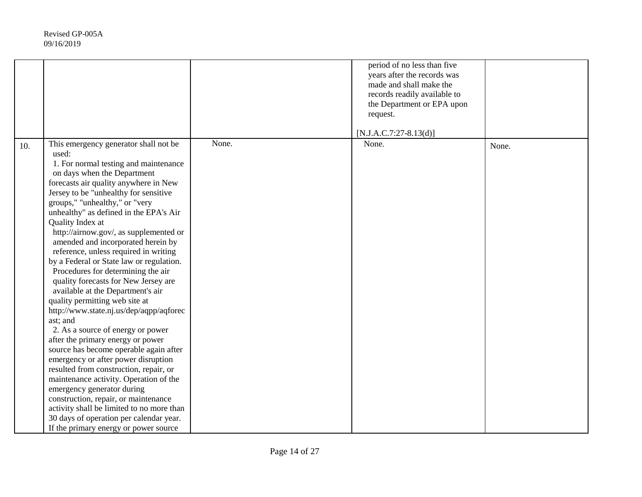|     |                                                                                                                                                                                                                                                                                                                                                                                                                                                                                                                                                                                                                                                                                                                                                                                                                                                                                                                                                                                                                                                                                                                                                 |       | period of no less than five<br>years after the records was<br>made and shall make the<br>records readily available to<br>the Department or EPA upon<br>request.<br>$[N.J.A.C.7:27-8.13(d)]$ |       |
|-----|-------------------------------------------------------------------------------------------------------------------------------------------------------------------------------------------------------------------------------------------------------------------------------------------------------------------------------------------------------------------------------------------------------------------------------------------------------------------------------------------------------------------------------------------------------------------------------------------------------------------------------------------------------------------------------------------------------------------------------------------------------------------------------------------------------------------------------------------------------------------------------------------------------------------------------------------------------------------------------------------------------------------------------------------------------------------------------------------------------------------------------------------------|-------|---------------------------------------------------------------------------------------------------------------------------------------------------------------------------------------------|-------|
| 10. | This emergency generator shall not be<br>used:<br>1. For normal testing and maintenance<br>on days when the Department<br>forecasts air quality anywhere in New<br>Jersey to be "unhealthy for sensitive<br>groups," "unhealthy," or "very<br>unhealthy" as defined in the EPA's Air<br>Quality Index at<br>http://airnow.gov/, as supplemented or<br>amended and incorporated herein by<br>reference, unless required in writing<br>by a Federal or State law or regulation.<br>Procedures for determining the air<br>quality forecasts for New Jersey are<br>available at the Department's air<br>quality permitting web site at<br>http://www.state.nj.us/dep/aqpp/aqforec<br>ast; and<br>2. As a source of energy or power<br>after the primary energy or power<br>source has become operable again after<br>emergency or after power disruption<br>resulted from construction, repair, or<br>maintenance activity. Operation of the<br>emergency generator during<br>construction, repair, or maintenance<br>activity shall be limited to no more than<br>30 days of operation per calendar year.<br>If the primary energy or power source | None. | None.                                                                                                                                                                                       | None. |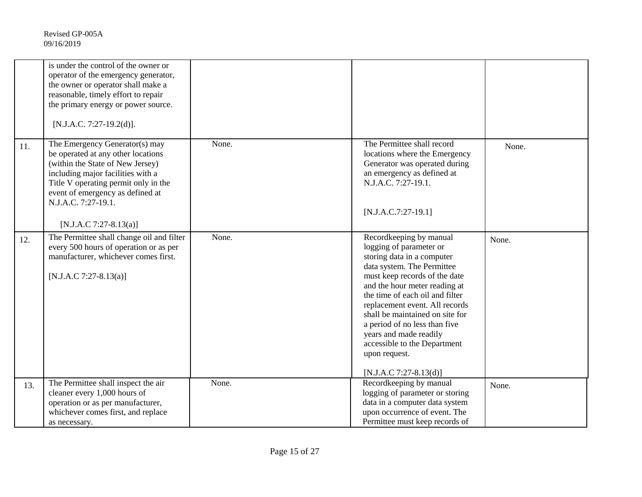|     | is under the control of the owner or<br>operator of the emergency generator,<br>the owner or operator shall make a<br>reasonable, timely effort to repair<br>the primary energy or power source.<br>[N.J.A.C. 7:27-19.2(d)].                                               |       |                                                                                                                                                                                                                                                                                                                                                                                                                                  |       |
|-----|----------------------------------------------------------------------------------------------------------------------------------------------------------------------------------------------------------------------------------------------------------------------------|-------|----------------------------------------------------------------------------------------------------------------------------------------------------------------------------------------------------------------------------------------------------------------------------------------------------------------------------------------------------------------------------------------------------------------------------------|-------|
| 11. | The Emergency Generator(s) may<br>be operated at any other locations<br>(within the State of New Jersey)<br>including major facilities with a<br>Title V operating permit only in the<br>event of emergency as defined at<br>N.J.A.C. 7:27-19.1.<br>[N.J.A.C 7:27-8.13(a)] | None. | The Permittee shall record<br>locations where the Emergency<br>Generator was operated during<br>an emergency as defined at<br>N.J.A.C. 7:27-19.1.<br>$[N.J.A.C.7:27-19.1]$                                                                                                                                                                                                                                                       | None. |
| 12. | The Permittee shall change oil and filter<br>every 500 hours of operation or as per<br>manufacturer, whichever comes first.<br>[N.J.A.C 7:27-8.13(a)]                                                                                                                      | None. | Recordkeeping by manual<br>logging of parameter or<br>storing data in a computer<br>data system. The Permittee<br>must keep records of the date<br>and the hour meter reading at<br>the time of each oil and filter<br>replacement event. All records<br>shall be maintained on site for<br>a period of no less than five<br>years and made readily<br>accessible to the Department<br>upon request.<br>$[N.J.A.C 7:27-8.13(d)]$ | None. |
| 13. | The Permittee shall inspect the air<br>cleaner every 1,000 hours of<br>operation or as per manufacturer,                                                                                                                                                                   | None. | Recordkeeping by manual<br>logging of parameter or storing<br>data in a computer data system                                                                                                                                                                                                                                                                                                                                     | None. |
|     | whichever comes first, and replace<br>as necessary.                                                                                                                                                                                                                        |       | upon occurrence of event. The<br>Permittee must keep records of                                                                                                                                                                                                                                                                                                                                                                  |       |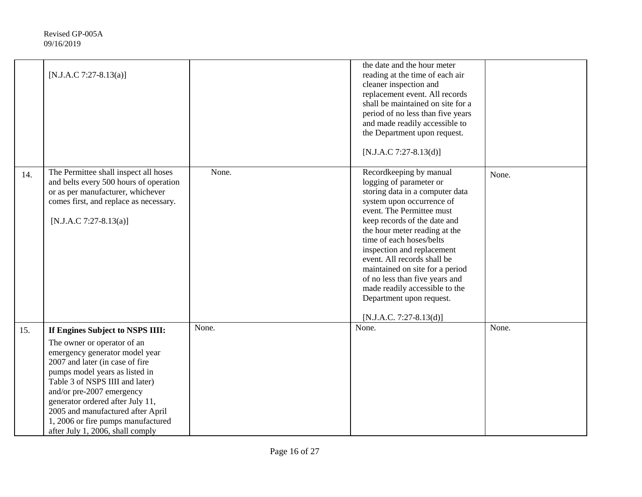|     | [N.J.A.C 7:27-8.13(a)]                                                                                                                                                                                                                                                                                                                                                                    |       | the date and the hour meter<br>reading at the time of each air<br>cleaner inspection and<br>replacement event. All records<br>shall be maintained on site for a<br>period of no less than five years<br>and made readily accessible to<br>the Department upon request.<br>$[N.J.A.C 7:27-8.13(d)]$                                                                                                                                                                      |       |
|-----|-------------------------------------------------------------------------------------------------------------------------------------------------------------------------------------------------------------------------------------------------------------------------------------------------------------------------------------------------------------------------------------------|-------|-------------------------------------------------------------------------------------------------------------------------------------------------------------------------------------------------------------------------------------------------------------------------------------------------------------------------------------------------------------------------------------------------------------------------------------------------------------------------|-------|
| 14. | The Permittee shall inspect all hoses<br>and belts every 500 hours of operation<br>or as per manufacturer, whichever<br>comes first, and replace as necessary.<br>[N.J.A.C 7:27-8.13(a)]                                                                                                                                                                                                  | None. | Recordkeeping by manual<br>logging of parameter or<br>storing data in a computer data<br>system upon occurrence of<br>event. The Permittee must<br>keep records of the date and<br>the hour meter reading at the<br>time of each hoses/belts<br>inspection and replacement<br>event. All records shall be<br>maintained on site for a period<br>of no less than five years and<br>made readily accessible to the<br>Department upon request.<br>[N.J.A.C. 7:27-8.13(d)] | None. |
| 15. | If Engines Subject to NSPS IIII:<br>The owner or operator of an<br>emergency generator model year<br>2007 and later (in case of fire<br>pumps model years as listed in<br>Table 3 of NSPS IIII and later)<br>and/or pre-2007 emergency<br>generator ordered after July 11,<br>2005 and manufactured after April<br>1, 2006 or fire pumps manufactured<br>after July 1, 2006, shall comply | None. | None.                                                                                                                                                                                                                                                                                                                                                                                                                                                                   | None. |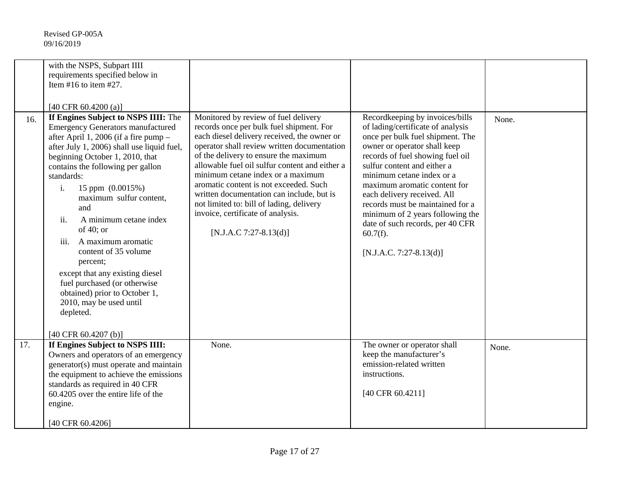| 16. | with the NSPS, Subpart IIII<br>requirements specified below in<br>Item #16 to item #27.<br>[40 CFR 60.4200 (a)]<br>If Engines Subject to NSPS IIII: The<br><b>Emergency Generators manufactured</b><br>after April 1, 2006 (if a fire pump -<br>after July 1, 2006) shall use liquid fuel,<br>beginning October 1, 2010, that<br>contains the following per gallon<br>standards:<br>15 ppm (0.0015%)<br>$\mathbf{i}$ .<br>maximum sulfur content,<br>and<br>ii.<br>A minimum cetane index<br>of 40; or<br>A maximum aromatic<br>iii.<br>content of 35 volume<br>percent;<br>except that any existing diesel<br>fuel purchased (or otherwise<br>obtained) prior to October 1,<br>2010, may be used until<br>depleted.<br>[40 CFR $60.4207$ (b)] | Monitored by review of fuel delivery<br>records once per bulk fuel shipment. For<br>each diesel delivery received, the owner or<br>operator shall review written documentation<br>of the delivery to ensure the maximum<br>allowable fuel oil sulfur content and either a<br>minimum cetane index or a maximum<br>aromatic content is not exceeded. Such<br>written documentation can include, but is<br>not limited to: bill of lading, delivery<br>invoice, certificate of analysis.<br>[N.J.A.C 7:27-8.13(d)] | Recordkeeping by invoices/bills<br>of lading/certificate of analysis<br>once per bulk fuel shipment. The<br>owner or operator shall keep<br>records of fuel showing fuel oil<br>sulfur content and either a<br>minimum cetane index or a<br>maximum aromatic content for<br>each delivery received. All<br>records must be maintained for a<br>minimum of 2 years following the<br>date of such records, per 40 CFR<br>$60.7(f)$ .<br>$[N.J.A.C. 7:27-8.13(d)]$ | None. |
|-----|------------------------------------------------------------------------------------------------------------------------------------------------------------------------------------------------------------------------------------------------------------------------------------------------------------------------------------------------------------------------------------------------------------------------------------------------------------------------------------------------------------------------------------------------------------------------------------------------------------------------------------------------------------------------------------------------------------------------------------------------|------------------------------------------------------------------------------------------------------------------------------------------------------------------------------------------------------------------------------------------------------------------------------------------------------------------------------------------------------------------------------------------------------------------------------------------------------------------------------------------------------------------|-----------------------------------------------------------------------------------------------------------------------------------------------------------------------------------------------------------------------------------------------------------------------------------------------------------------------------------------------------------------------------------------------------------------------------------------------------------------|-------|
| 17. | If Engines Subject to NSPS IIII:<br>Owners and operators of an emergency<br>generator(s) must operate and maintain<br>the equipment to achieve the emissions<br>standards as required in 40 CFR<br>60.4205 over the entire life of the<br>engine.<br>[40 CFR 60.4206]                                                                                                                                                                                                                                                                                                                                                                                                                                                                          | None.                                                                                                                                                                                                                                                                                                                                                                                                                                                                                                            | The owner or operator shall<br>keep the manufacturer's<br>emission-related written<br>instructions.<br>[40 CFR 60.4211]                                                                                                                                                                                                                                                                                                                                         | None. |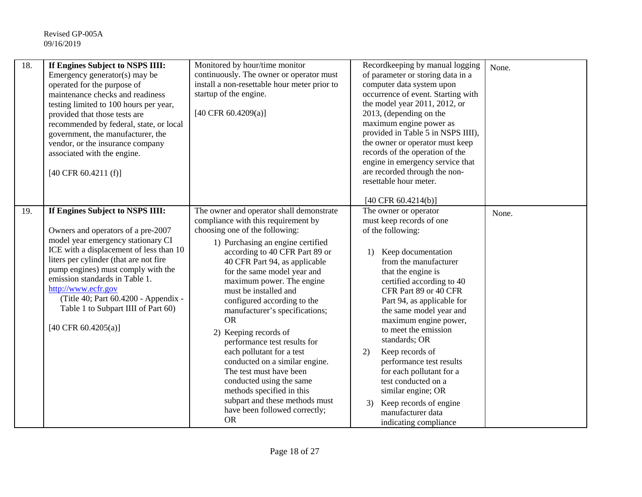| 18.<br>If Engines Subject to NSPS IIII:<br>Emergency generator(s) may be<br>operated for the purpose of<br>maintenance checks and readiness<br>testing limited to 100 hours per year,<br>provided that those tests are<br>recommended by federal, state, or local<br>government, the manufacturer, the<br>vendor, or the insurance company<br>associated with the engine.<br>$[40 \text{ CFR } 60.4211 \text{ (f)}]$ | Monitored by hour/time monitor<br>continuously. The owner or operator must<br>install a non-resettable hour meter prior to<br>startup of the engine.<br>[40 CFR 60.4209(a)]                                                                                                                                                                                                                                                                                                                                                                                                                                                                                                              | Recordkeeping by manual logging<br>of parameter or storing data in a<br>computer data system upon<br>occurrence of event. Starting with<br>the model year 2011, 2012, or<br>2013, (depending on the<br>maximum engine power as<br>provided in Table 5 in NSPS IIII),<br>the owner or operator must keep<br>records of the operation of the<br>engine in emergency service that<br>are recorded through the non-<br>resettable hour meter.<br>[40 CFR $60.4214(b)$ ]                                                                                          | None. |
|----------------------------------------------------------------------------------------------------------------------------------------------------------------------------------------------------------------------------------------------------------------------------------------------------------------------------------------------------------------------------------------------------------------------|------------------------------------------------------------------------------------------------------------------------------------------------------------------------------------------------------------------------------------------------------------------------------------------------------------------------------------------------------------------------------------------------------------------------------------------------------------------------------------------------------------------------------------------------------------------------------------------------------------------------------------------------------------------------------------------|--------------------------------------------------------------------------------------------------------------------------------------------------------------------------------------------------------------------------------------------------------------------------------------------------------------------------------------------------------------------------------------------------------------------------------------------------------------------------------------------------------------------------------------------------------------|-------|
| If Engines Subject to NSPS IIII:<br>19.<br>Owners and operators of a pre-2007<br>model year emergency stationary CI<br>ICE with a displacement of less than 10<br>liters per cylinder (that are not fire<br>pump engines) must comply with the<br>emission standards in Table 1.<br>http://www.ecfr.gov<br>(Title 40; Part 60.4200 - Appendix -<br>Table 1 to Subpart IIII of Part 60)<br>[40 CFR 60.4205(a)]        | The owner and operator shall demonstrate<br>compliance with this requirement by<br>choosing one of the following:<br>1) Purchasing an engine certified<br>according to 40 CFR Part 89 or<br>40 CFR Part 94, as applicable<br>for the same model year and<br>maximum power. The engine<br>must be installed and<br>configured according to the<br>manufacturer's specifications;<br><b>OR</b><br>2) Keeping records of<br>performance test results for<br>each pollutant for a test<br>conducted on a similar engine.<br>The test must have been<br>conducted using the same<br>methods specified in this<br>subpart and these methods must<br>have been followed correctly;<br><b>OR</b> | The owner or operator<br>must keep records of one<br>of the following:<br>Keep documentation<br>$\left( \right)$<br>from the manufacturer<br>that the engine is<br>certified according to 40<br>CFR Part 89 or 40 CFR<br>Part 94, as applicable for<br>the same model year and<br>maximum engine power,<br>to meet the emission<br>standards; OR<br>Keep records of<br>2)<br>performance test results<br>for each pollutant for a<br>test conducted on a<br>similar engine; OR<br>Keep records of engine<br>3)<br>manufacturer data<br>indicating compliance | None. |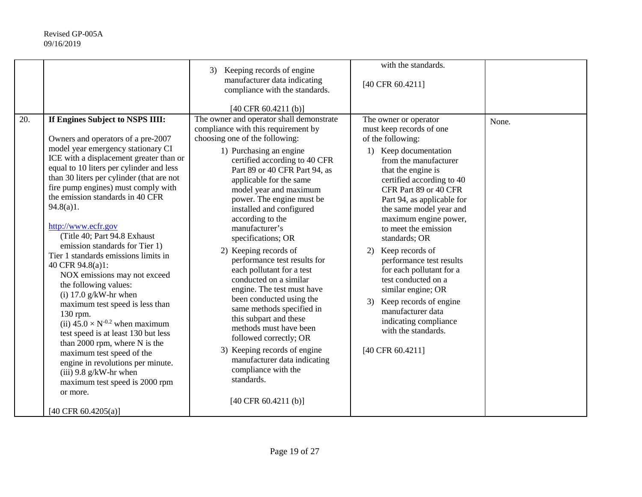|     |                                                                                                                                                                                                                                                                                                                                                                                                                                                                                                                                                                                                                                                                                                                                                                                                                                                                                                                         | Keeping records of engine<br>3)<br>manufacturer data indicating<br>compliance with the standards.                                                                                                                                                                                                                                                                                                                                                                                                                                                                                                                                                                                                                                                                                                                                  | with the standards.<br>[40 CFR 60.4211]                                                                                                                                                                                                                                                                                                                                                                                                                                                                                                                                                |       |
|-----|-------------------------------------------------------------------------------------------------------------------------------------------------------------------------------------------------------------------------------------------------------------------------------------------------------------------------------------------------------------------------------------------------------------------------------------------------------------------------------------------------------------------------------------------------------------------------------------------------------------------------------------------------------------------------------------------------------------------------------------------------------------------------------------------------------------------------------------------------------------------------------------------------------------------------|------------------------------------------------------------------------------------------------------------------------------------------------------------------------------------------------------------------------------------------------------------------------------------------------------------------------------------------------------------------------------------------------------------------------------------------------------------------------------------------------------------------------------------------------------------------------------------------------------------------------------------------------------------------------------------------------------------------------------------------------------------------------------------------------------------------------------------|----------------------------------------------------------------------------------------------------------------------------------------------------------------------------------------------------------------------------------------------------------------------------------------------------------------------------------------------------------------------------------------------------------------------------------------------------------------------------------------------------------------------------------------------------------------------------------------|-------|
| 20. | If Engines Subject to NSPS IIII:<br>Owners and operators of a pre-2007<br>model year emergency stationary CI<br>ICE with a displacement greater than or<br>equal to 10 liters per cylinder and less<br>than 30 liters per cylinder (that are not<br>fire pump engines) must comply with<br>the emission standards in 40 CFR<br>94.8(a)1.<br>http://www.ecfr.gov<br>(Title 40; Part 94.8 Exhaust<br>emission standards for Tier 1)<br>Tier 1 standards emissions limits in<br>40 CFR 94.8(a)1:<br>NOX emissions may not exceed<br>the following values:<br>(i) $17.0$ g/kW-hr when<br>maximum test speed is less than<br>130 rpm.<br>(ii) $45.0 \times N^{-0.2}$ when maximum<br>test speed is at least 130 but less<br>than 2000 rpm, where N is the<br>maximum test speed of the<br>engine in revolutions per minute.<br>$(iii)$ 9.8 g/kW-hr when<br>maximum test speed is 2000 rpm<br>or more.<br>[40 CFR 60.4205(a)] | [40 CFR 60.4211 (b)]<br>The owner and operator shall demonstrate<br>compliance with this requirement by<br>choosing one of the following:<br>1) Purchasing an engine<br>certified according to 40 CFR<br>Part 89 or 40 CFR Part 94, as<br>applicable for the same<br>model year and maximum<br>power. The engine must be<br>installed and configured<br>according to the<br>manufacturer's<br>specifications; OR<br>2) Keeping records of<br>performance test results for<br>each pollutant for a test<br>conducted on a similar<br>engine. The test must have<br>been conducted using the<br>same methods specified in<br>this subpart and these<br>methods must have been<br>followed correctly; OR<br>3) Keeping records of engine<br>manufacturer data indicating<br>compliance with the<br>standards.<br>[40 CFR 60.4211 (b)] | The owner or operator<br>must keep records of one<br>of the following:<br>1) Keep documentation<br>from the manufacturer<br>that the engine is<br>certified according to 40<br>CFR Part 89 or 40 CFR<br>Part 94, as applicable for<br>the same model year and<br>maximum engine power,<br>to meet the emission<br>standards; OR<br>Keep records of<br>2)<br>performance test results<br>for each pollutant for a<br>test conducted on a<br>similar engine; OR<br>Keep records of engine<br>3)<br>manufacturer data<br>indicating compliance<br>with the standards.<br>[40 CFR 60.4211] | None. |
|     |                                                                                                                                                                                                                                                                                                                                                                                                                                                                                                                                                                                                                                                                                                                                                                                                                                                                                                                         |                                                                                                                                                                                                                                                                                                                                                                                                                                                                                                                                                                                                                                                                                                                                                                                                                                    |                                                                                                                                                                                                                                                                                                                                                                                                                                                                                                                                                                                        |       |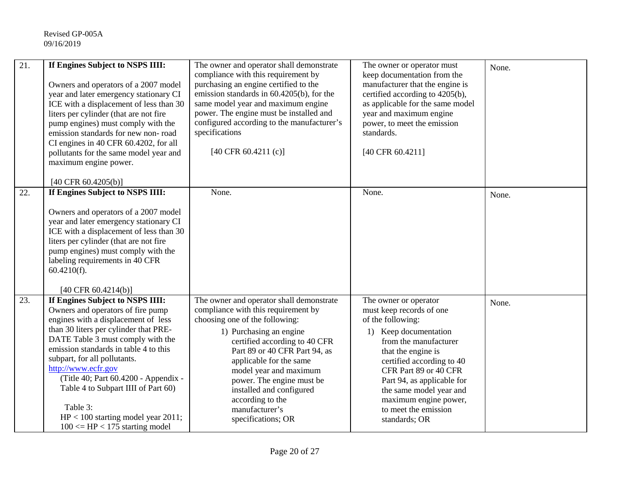| 21. | If Engines Subject to NSPS IIII:<br>Owners and operators of a 2007 model<br>year and later emergency stationary CI<br>ICE with a displacement of less than 30<br>liters per cylinder (that are not fire<br>pump engines) must comply with the<br>emission standards for new non-road<br>CI engines in 40 CFR 60.4202, for all<br>pollutants for the same model year and<br>maximum engine power.<br>[40 CFR 60.4205(b)]                                              | The owner and operator shall demonstrate<br>compliance with this requirement by<br>purchasing an engine certified to the<br>emission standards in 60.4205(b), for the<br>same model year and maximum engine<br>power. The engine must be installed and<br>configured according to the manufacturer's<br>specifications<br>[40 CFR 60.4211 (c)]                                           | The owner or operator must<br>keep documentation from the<br>manufacturer that the engine is<br>certified according to 4205(b),<br>as applicable for the same model<br>year and maximum engine<br>power, to meet the emission<br>standards.<br>[40 CFR 60.4211]                                                                 | None. |
|-----|----------------------------------------------------------------------------------------------------------------------------------------------------------------------------------------------------------------------------------------------------------------------------------------------------------------------------------------------------------------------------------------------------------------------------------------------------------------------|------------------------------------------------------------------------------------------------------------------------------------------------------------------------------------------------------------------------------------------------------------------------------------------------------------------------------------------------------------------------------------------|---------------------------------------------------------------------------------------------------------------------------------------------------------------------------------------------------------------------------------------------------------------------------------------------------------------------------------|-------|
| 22. | If Engines Subject to NSPS IIII:                                                                                                                                                                                                                                                                                                                                                                                                                                     | None.                                                                                                                                                                                                                                                                                                                                                                                    | None.                                                                                                                                                                                                                                                                                                                           | None. |
|     | Owners and operators of a 2007 model<br>year and later emergency stationary CI<br>ICE with a displacement of less than 30<br>liters per cylinder (that are not fire<br>pump engines) must comply with the<br>labeling requirements in 40 CFR<br>$60.4210(f)$ .<br>[40 CFR $60.4214(b)$ ]                                                                                                                                                                             |                                                                                                                                                                                                                                                                                                                                                                                          |                                                                                                                                                                                                                                                                                                                                 |       |
| 23. | If Engines Subject to NSPS IIII:<br>Owners and operators of fire pump<br>engines with a displacement of less<br>than 30 liters per cylinder that PRE-<br>DATE Table 3 must comply with the<br>emission standards in table 4 to this<br>subpart, for all pollutants.<br>http://www.ecfr.gov<br>(Title 40; Part 60.4200 - Appendix -<br>Table 4 to Subpart IIII of Part 60)<br>Table 3:<br>$HP < 100$ starting model year 2011;<br>$100 \leq H$ P < 175 starting model | The owner and operator shall demonstrate<br>compliance with this requirement by<br>choosing one of the following:<br>1) Purchasing an engine<br>certified according to 40 CFR<br>Part 89 or 40 CFR Part 94, as<br>applicable for the same<br>model year and maximum<br>power. The engine must be<br>installed and configured<br>according to the<br>manufacturer's<br>specifications; OR | The owner or operator<br>must keep records of one<br>of the following:<br>1) Keep documentation<br>from the manufacturer<br>that the engine is<br>certified according to 40<br>CFR Part 89 or 40 CFR<br>Part 94, as applicable for<br>the same model year and<br>maximum engine power,<br>to meet the emission<br>standards; OR | None. |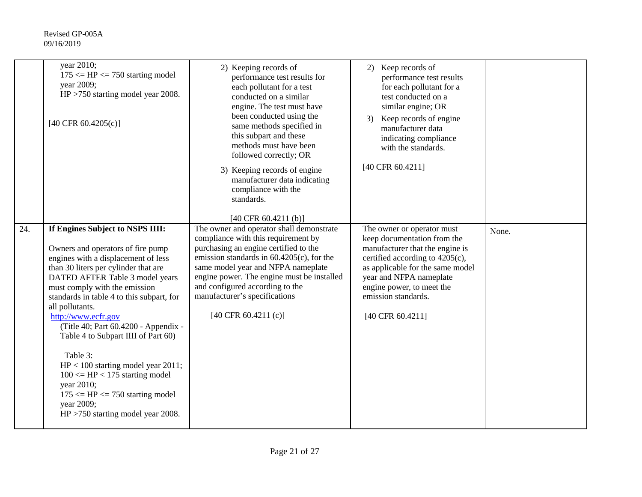|     | year 2010;<br>$175 \leq H$ P $\leq 750$ starting model<br>year 2009;<br>$HP > 750$ starting model year 2008.<br>[40 CFR 60.4205(c)]                                                                                                                                                                                                                                                                                                                                                                                                                                                                    | 2) Keeping records of<br>performance test results for<br>each pollutant for a test<br>conducted on a similar<br>engine. The test must have<br>been conducted using the<br>same methods specified in<br>this subpart and these<br>methods must have been<br>followed correctly; OR<br>3) Keeping records of engine<br>manufacturer data indicating<br>compliance with the<br>standards.<br>[40 CFR 60.4211 (b)] | 2) Keep records of<br>performance test results<br>for each pollutant for a<br>test conducted on a<br>similar engine; OR<br>Keep records of engine<br>3)<br>manufacturer data<br>indicating compliance<br>with the standards.<br>[40 CFR 60.4211]                       |       |
|-----|--------------------------------------------------------------------------------------------------------------------------------------------------------------------------------------------------------------------------------------------------------------------------------------------------------------------------------------------------------------------------------------------------------------------------------------------------------------------------------------------------------------------------------------------------------------------------------------------------------|----------------------------------------------------------------------------------------------------------------------------------------------------------------------------------------------------------------------------------------------------------------------------------------------------------------------------------------------------------------------------------------------------------------|------------------------------------------------------------------------------------------------------------------------------------------------------------------------------------------------------------------------------------------------------------------------|-------|
| 24. | If Engines Subject to NSPS IIII:<br>Owners and operators of fire pump<br>engines with a displacement of less<br>than 30 liters per cylinder that are<br>DATED AFTER Table 3 model years<br>must comply with the emission<br>standards in table 4 to this subpart, for<br>all pollutants.<br>http://www.ecfr.gov<br>(Title 40; Part 60.4200 - Appendix -<br>Table 4 to Subpart IIII of Part 60)<br>Table 3:<br>$HP < 100$ starting model year 2011;<br>$100 \leq H$ P < 175 starting model<br>year 2010;<br>$175 \leq H$ P $\leq 750$ starting model<br>year 2009;<br>HP >750 starting model year 2008. | The owner and operator shall demonstrate<br>compliance with this requirement by<br>purchasing an engine certified to the<br>emission standards in $60.4205(c)$ , for the<br>same model year and NFPA nameplate<br>engine power. The engine must be installed<br>and configured according to the<br>manufacturer's specifications<br>$[40 \text{ CFR } 60.4211 \text{ (c)}]$                                    | The owner or operator must<br>keep documentation from the<br>manufacturer that the engine is<br>certified according to 4205(c),<br>as applicable for the same model<br>year and NFPA nameplate<br>engine power, to meet the<br>emission standards.<br>[40 CFR 60.4211] | None. |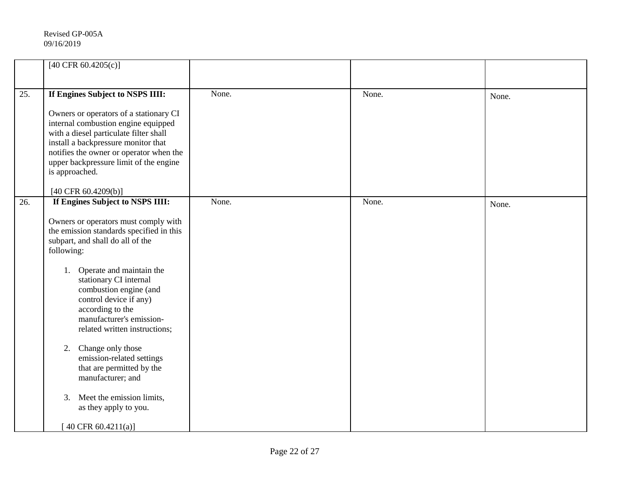|     | [40 CFR 60.4205(c)]                                                                                                                                                                                                                                                                                                                                                                                                                                                                                                                                              |       |       |       |
|-----|------------------------------------------------------------------------------------------------------------------------------------------------------------------------------------------------------------------------------------------------------------------------------------------------------------------------------------------------------------------------------------------------------------------------------------------------------------------------------------------------------------------------------------------------------------------|-------|-------|-------|
| 25. | If Engines Subject to NSPS IIII:<br>Owners or operators of a stationary CI<br>internal combustion engine equipped<br>with a diesel particulate filter shall<br>install a backpressure monitor that<br>notifies the owner or operator when the<br>upper backpressure limit of the engine<br>is approached.<br>[40 CFR $60.4209(b)$ ]                                                                                                                                                                                                                              | None. | None. | None. |
| 26. | If Engines Subject to NSPS IIII:<br>Owners or operators must comply with<br>the emission standards specified in this<br>subpart, and shall do all of the<br>following:<br>Operate and maintain the<br>1.<br>stationary CI internal<br>combustion engine (and<br>control device if any)<br>according to the<br>manufacturer's emission-<br>related written instructions;<br>Change only those<br>2.<br>emission-related settings<br>that are permitted by the<br>manufacturer; and<br>3. Meet the emission limits,<br>as they apply to you.<br>40 CFR 60.4211(a)] | None. | None. | None. |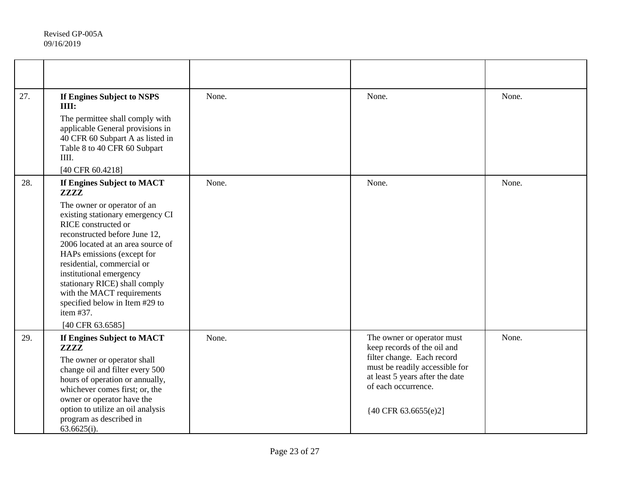| 27. | If Engines Subject to NSPS<br>IIII:                                                                                                                                                                                                                                                                                                                                                   | None. | None.                                                                                                                                                                                                                    | None. |
|-----|---------------------------------------------------------------------------------------------------------------------------------------------------------------------------------------------------------------------------------------------------------------------------------------------------------------------------------------------------------------------------------------|-------|--------------------------------------------------------------------------------------------------------------------------------------------------------------------------------------------------------------------------|-------|
|     | The permittee shall comply with<br>applicable General provisions in<br>40 CFR 60 Subpart A as listed in<br>Table 8 to 40 CFR 60 Subpart<br>IIII.                                                                                                                                                                                                                                      |       |                                                                                                                                                                                                                          |       |
|     | [40 CFR 60.4218]                                                                                                                                                                                                                                                                                                                                                                      |       |                                                                                                                                                                                                                          |       |
| 28. | If Engines Subject to MACT<br><b>ZZZZ</b>                                                                                                                                                                                                                                                                                                                                             | None. | None.                                                                                                                                                                                                                    | None. |
|     | The owner or operator of an<br>existing stationary emergency CI<br>RICE constructed or<br>reconstructed before June 12,<br>2006 located at an area source of<br>HAPs emissions (except for<br>residential, commercial or<br>institutional emergency<br>stationary RICE) shall comply<br>with the MACT requirements<br>specified below in Item #29 to<br>item #37.<br>[40 CFR 63.6585] |       |                                                                                                                                                                                                                          |       |
| 29. | If Engines Subject to MACT<br><b>ZZZZ</b><br>The owner or operator shall<br>change oil and filter every 500<br>hours of operation or annually,<br>whichever comes first; or, the<br>owner or operator have the<br>option to utilize an oil analysis<br>program as described in<br>$63.6625(i)$ .                                                                                      | None. | The owner or operator must<br>keep records of the oil and<br>filter change. Each record<br>must be readily accessible for<br>at least 5 years after the date<br>of each occurrence.<br>${40 \text{ CFR } 63.6655(e)}$ 2] | None. |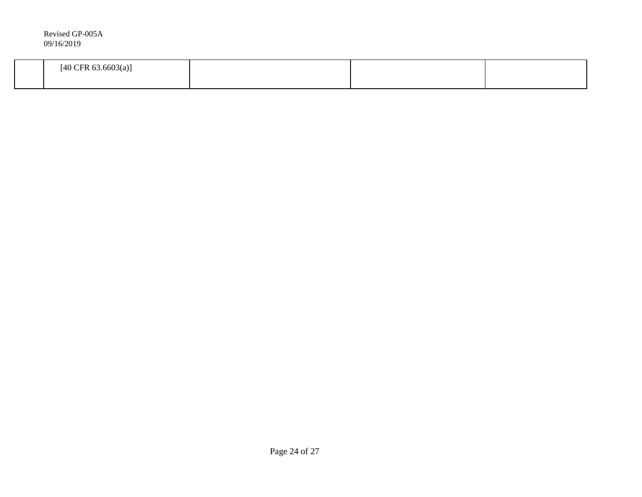| Revised GP-005A<br>09/16/2019  |  |  |
|--------------------------------|--|--|
| $[40 \text{ CFR } 63.6603(a)]$ |  |  |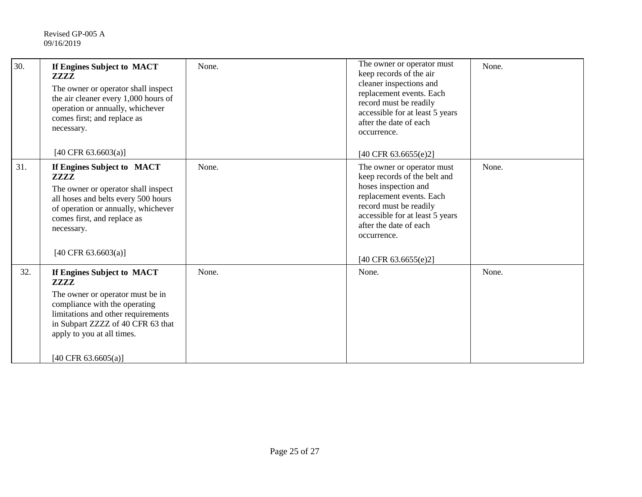| 30. | If Engines Subject to MACT<br><b>ZZZZ</b><br>The owner or operator shall inspect<br>the air cleaner every 1,000 hours of<br>operation or annually, whichever<br>comes first; and replace as<br>necessary.                                 | None. | The owner or operator must<br>keep records of the air<br>cleaner inspections and<br>replacement events. Each<br>record must be readily<br>accessible for at least 5 years<br>after the date of each<br>occurrence.                           | None. |
|-----|-------------------------------------------------------------------------------------------------------------------------------------------------------------------------------------------------------------------------------------------|-------|----------------------------------------------------------------------------------------------------------------------------------------------------------------------------------------------------------------------------------------------|-------|
|     | [40 CFR 63.6603(a)]                                                                                                                                                                                                                       |       | [40 CFR 63.6655(e)2]                                                                                                                                                                                                                         |       |
| 31. | If Engines Subject to MACT<br><i><b>ZZZZ</b></i><br>The owner or operator shall inspect<br>all hoses and belts every 500 hours<br>of operation or annually, whichever<br>comes first, and replace as<br>necessary.<br>[40 CFR 63.6603(a)] | None. | The owner or operator must<br>keep records of the belt and<br>hoses inspection and<br>replacement events. Each<br>record must be readily<br>accessible for at least 5 years<br>after the date of each<br>occurrence.<br>[40 CFR 63.6655(e)2] | None. |
| 32. | If Engines Subject to MACT<br><b>ZZZZ</b>                                                                                                                                                                                                 | None. | None.                                                                                                                                                                                                                                        | None. |
|     | The owner or operator must be in<br>compliance with the operating<br>limitations and other requirements<br>in Subpart ZZZZ of 40 CFR 63 that<br>apply to you at all times.                                                                |       |                                                                                                                                                                                                                                              |       |
|     | [40 CFR 63.6605(a)]                                                                                                                                                                                                                       |       |                                                                                                                                                                                                                                              |       |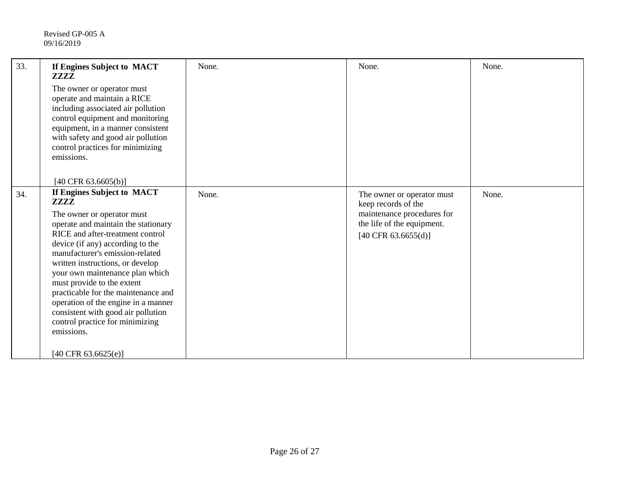| 33. | If Engines Subject to MACT<br><b>ZZZZ</b>                                                                                                                                                                                                                                                                                                                                                                                                                                                                                  | None. | None.                                                                                                                                | None. |
|-----|----------------------------------------------------------------------------------------------------------------------------------------------------------------------------------------------------------------------------------------------------------------------------------------------------------------------------------------------------------------------------------------------------------------------------------------------------------------------------------------------------------------------------|-------|--------------------------------------------------------------------------------------------------------------------------------------|-------|
|     | The owner or operator must<br>operate and maintain a RICE<br>including associated air pollution<br>control equipment and monitoring<br>equipment, in a manner consistent<br>with safety and good air pollution<br>control practices for minimizing<br>emissions.                                                                                                                                                                                                                                                           |       |                                                                                                                                      |       |
| 34. | [40 CFR 63.6605(b)]<br>If Engines Subject to MACT<br><b>ZZZZ</b><br>The owner or operator must<br>operate and maintain the stationary<br>RICE and after-treatment control<br>device (if any) according to the<br>manufacturer's emission-related<br>written instructions, or develop<br>your own maintenance plan which<br>must provide to the extent<br>practicable for the maintenance and<br>operation of the engine in a manner<br>consistent with good air pollution<br>control practice for minimizing<br>emissions. | None. | The owner or operator must<br>keep records of the<br>maintenance procedures for<br>the life of the equipment.<br>[40 CFR 63.6655(d)] | None. |
|     | [40 CFR $63.6625(e)$ ]                                                                                                                                                                                                                                                                                                                                                                                                                                                                                                     |       |                                                                                                                                      |       |